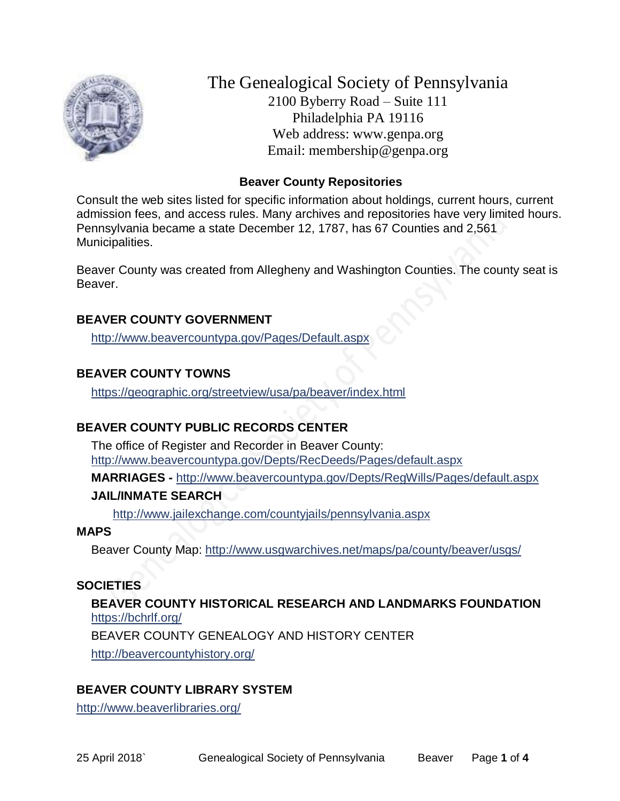

The Genealogical Society of Pennsylvania 2100 Byberry Road – Suite 111 Philadelphia PA 19116 Web address: www.genpa.org Email: membership@genpa.org

#### **Beaver County Repositories**

Consult the web sites listed for specific information about holdings, current hours, current admission fees, and access rules. Many archives and repositories have very limited hours. Pennsylvania became a state December 12, 1787, has 67 Counties and 2,561 Municipalities.

Beaver County was created from Allegheny and Washington Counties. The county seat is Beaver.

#### **BEAVER COUNTY GOVERNMENT**

<http://www.beavercountypa.gov/Pages/Default.aspx>

### **BEAVER COUNTY TOWNS**

<https://geographic.org/streetview/usa/pa/beaver/index.html>

### **BEAVER COUNTY PUBLIC RECORDS CENTER**

The office of Register and Recorder in Beaver County: <http://www.beavercountypa.gov/Depts/RecDeeds/Pages/default.aspx>

**MARRIAGES -** <http://www.beavercountypa.gov/Depts/RegWills/Pages/default.aspx>

### **JAIL/INMATE SEARCH**

<http://www.jailexchange.com/countyjails/pennsylvania.aspx>

#### **MAPS**

Beaver County Map:<http://www.usgwarchives.net/maps/pa/county/beaver/usgs/>

#### **SOCIETIES**

**BEAVER COUNTY HISTORICAL RESEARCH AND LANDMARKS FOUNDATION**  <https://bchrlf.org/>

BEAVER COUNTY GENEALOGY AND HISTORY CENTER

<http://beavercountyhistory.org/>

### **BEAVER COUNTY LIBRARY SYSTEM**

<http://www.beaverlibraries.org/>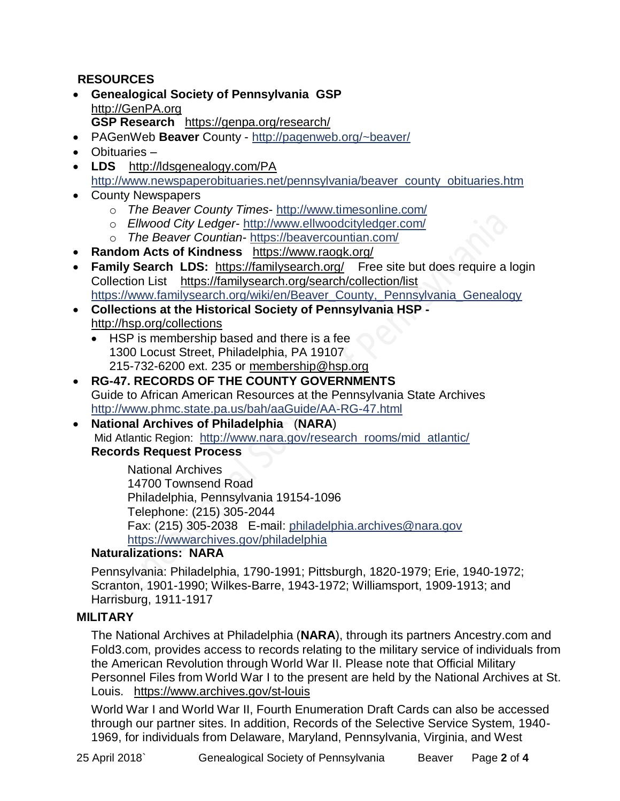## **RESOURCES**

- **Genealogical Society of Pennsylvania GSP** [http://GenPA.org](http://genpa.org/) **GSP Research** <https://genpa.org/research/>
- PAGenWeb **Beaver** County <http://pagenweb.org/~beaver/>
- Obituaries –
- **LDS** <http://ldsgenealogy.com/PA> [http://www.newspaperobituaries.net/pennsylvania/beaver\\_county\\_obituaries.htm](http://www.newspaperobituaries.net/pennsylvania/beaver_county_obituaries.htm)
- County Newspapers
	- o *The Beaver County Times* <http://www.timesonline.com/>
	- o *Ellwood City Ledger* <http://www.ellwoodcityledger.com/>
	- o *The Beaver Countian* <https://beavercountian.com/>
- **Random Acts of Kindness** <https://www.raogk.org/>
- **Family Search LDS:** <https://familysearch.org/>Free site but does require a login Collection List <https://familysearch.org/search/collection/list> [https://www.familysearch.org/wiki/en/Beaver\\_County,\\_Pennsylvania\\_Genealogy](https://www.familysearch.org/wiki/en/Beaver_County,_Pennsylvania_Genealogy)
- **Collections at the Historical Society of Pennsylvania HSP**  <http://hsp.org/collections>
	- HSP is membership based and there is a fee 1300 Locust Street, Philadelphia, PA 19107 215-732-6200 ext. 235 or [membership@hsp.org](mailto:membership@hsp.org)
- **RG-47. RECORDS OF THE COUNTY GOVERNMENTS** Guide to African American Resources at the Pennsylvania State Archives <http://www.phmc.state.pa.us/bah/aaGuide/AA-RG-47.html>
- **National Archives of Philadelphia** (**NARA**) Mid Atlantic Region: [http://www.nara.gov/research\\_rooms/mid\\_atlantic/](http://www.nara.gov/research_rooms/mid_atlantic/) **Records Request Process**

National Archives 14700 Townsend Road Philadelphia, Pennsylvania 19154-1096 Telephone: (215) 305-2044 Fax: (215) 305-2038 E-mail: [philadelphia.archives@nara.gov](mailto:philadelphia.archives@nara.gov) <https://wwwarchives.gov/philadelphia>

## **Naturalizations: NARA**

Pennsylvania: Philadelphia, 1790-1991; Pittsburgh, 1820-1979; Erie, 1940-1972; Scranton, 1901-1990; Wilkes-Barre, 1943-1972; Williamsport, 1909-1913; and Harrisburg, 1911-1917

#### **MILITARY**

The National Archives at Philadelphia (**NARA**), through its partners Ancestry.com and Fold3.com, provides access to records relating to the military service of individuals from the American Revolution through World War II. Please note that Official Military Personnel Files from World War I to the present are held by the National Archives at St. Louis. <https://www.archives.gov/st-louis>

World War I and World War II, Fourth Enumeration Draft Cards can also be accessed through our partner sites. In addition, Records of the Selective Service System, 1940- 1969, for individuals from Delaware, Maryland, Pennsylvania, Virginia, and West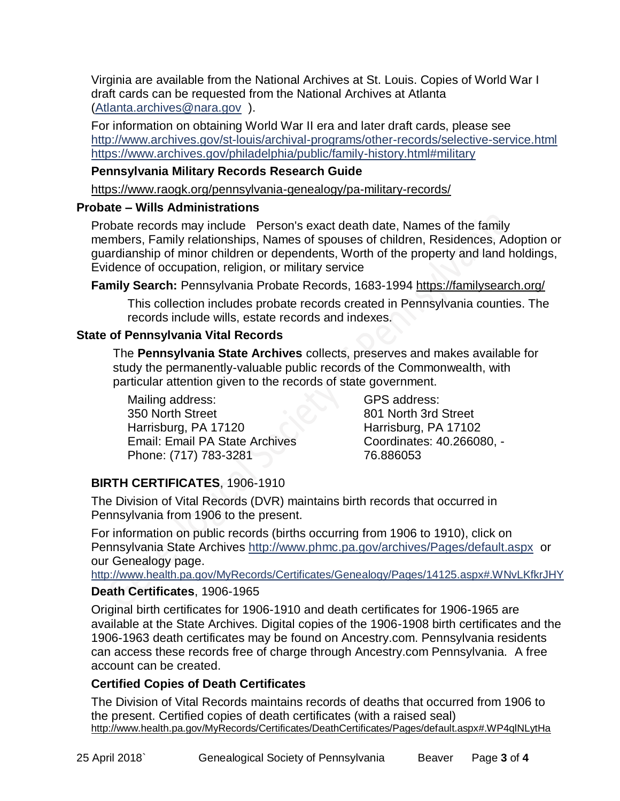Virginia are available from the National Archives at St. Louis. Copies of World War I draft cards can be requested from the National Archives at Atlanta [\(Atlanta.archives@nara.gov](mailto:Atlanta.archives@nara.gov) ).

For information on obtaining World War II era and later draft cards, please see <http://www.archives.gov/st-louis/archival-programs/other-records/selective-service.html> <https://www.archives.gov/philadelphia/public/family-history.html#military>

# **Pennsylvania Military Records Research Guide**

<https://www.raogk.org/pennsylvania-genealogy/pa-military-records/>

### **Probate – Wills Administrations**

Probate records may include Person's exact death date, Names of the family members, Family relationships, Names of spouses of children, Residences, Adoption or guardianship of minor children or dependents, Worth of the property and land holdings, Evidence of occupation, religion, or military service

**Family Search:** Pennsylvania Probate Records, 1683-1994 <https://familysearch.org/>

This collection includes probate records created in Pennsylvania counties. The records include wills, estate records and indexes.

### **State of Pennsylvania Vital Records**

The **Pennsylvania State Archives** collects, preserves and makes available for study the permanently-valuable public records of the Commonwealth, with particular attention given to the records of state government.

Mailing address: 350 North Street Harrisburg, PA 17120 Email: Email PA State Archives Phone: (717) 783-3281

GPS address: 801 North 3rd Street Harrisburg, PA 17102 Coordinates: 40.266080, - 76.886053

## **BIRTH CERTIFICATES**, 1906-1910

The Division of Vital Records (DVR) maintains birth records that occurred in Pennsylvania from 1906 to the present.

For information on public records (births occurring from 1906 to 1910), click on Pennsylvania State Archives <http://www.phmc.pa.gov/archives/Pages/default.aspx>or our Genealogy page.

<http://www.health.pa.gov/MyRecords/Certificates/Genealogy/Pages/14125.aspx#.WNvLKfkrJHY>

### **Death Certificates**, 1906-1965

Original birth certificates for 1906-1910 and death certificates for 1906-1965 are available at the State Archives. Digital copies of the 1906-1908 birth certificates and the 1906-1963 death certificates may be found on Ancestry.com. Pennsylvania residents can access these records free of charge through Ancestry.com Pennsylvania. A free account can be created.

### **Certified Copies of Death Certificates**

The Division of Vital Records maintains records of deaths that occurred from 1906 to the present. Certified copies of death certificates (with a raised seal) http://www.health.pa.gov/MyRecords/Certificates/DeathCertificates/Pages/default.aspx#.WP4qlNLytHa